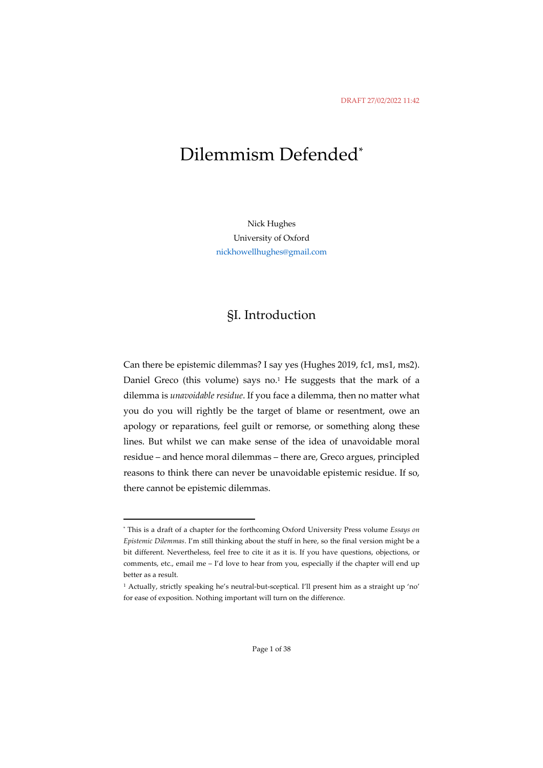# Dilemmism Defended\*

Nick Hughes University of Oxford nickhowellhughes@gmail.com

### §I. Introduction

Can there be epistemic dilemmas? I say yes (Hughes 2019, fc1, ms1, ms2). Daniel Greco (this volume) says no.<sup>1</sup> He suggests that the mark of a dilemma is *unavoidable residue*. If you face a dilemma, then no matter what you do you will rightly be the target of blame or resentment, owe an apology or reparations, feel guilt or remorse, or something along these lines. But whilst we can make sense of the idea of unavoidable moral residue – and hence moral dilemmas – there are, Greco argues, principled reasons to think there can never be unavoidable epistemic residue. If so, there cannot be epistemic dilemmas.

<sup>\*</sup> This is a draft of a chapter for the forthcoming Oxford University Press volume *Essays on Epistemic Dilemmas*. I'm still thinking about the stuff in here, so the final version might be a bit different. Nevertheless, feel free to cite it as it is. If you have questions, objections, or comments, etc., email me - I'd love to hear from you, especially if the chapter will end up better as a result.

<sup>1</sup> Actually, strictly speaking he's neutral-but-sceptical. I'll present him as a straight up 'no' for ease of exposition. Nothing important will turn on the difference.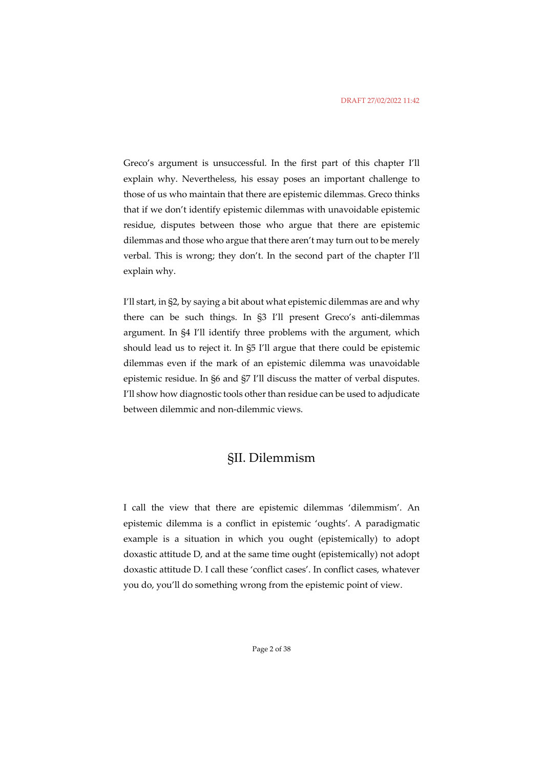Greco's argument is unsuccessful. In the first part of this chapter I'll explain why. Nevertheless, his essay poses an important challenge to those of us who maintain that there are epistemic dilemmas. Greco thinks that if we don't identify epistemic dilemmas with unavoidable epistemic residue, disputes between those who argue that there are epistemic dilemmas and those who argue that there aren't may turn out to be merely verbal. This is wrong; they don't. In the second part of the chapter I'll explain why.

I'll start, in §2, by saying a bit about what epistemic dilemmas are and why there can be such things. In §3 I'll present Greco's anti-dilemmas argument. In §4 I'll identify three problems with the argument, which should lead us to reject it. In §5 I'll argue that there could be epistemic dilemmas even if the mark of an epistemic dilemma was unavoidable epistemic residue. In §6 and §7 I'll discuss the matter of verbal disputes. I'll show how diagnostic tools other than residue can be used to adjudicate between dilemmic and non-dilemmic views.

### §II. Dilemmism

I call the view that there are epistemic dilemmas 'dilemmism'. An epistemic dilemma is a conflict in epistemic 'oughts'. A paradigmatic example is a situation in which you ought (epistemically) to adopt doxastic attitude D, and at the same time ought (epistemically) not adopt doxastic attitude D. I call these 'conflict cases'. In conflict cases, whatever you do, you'll do something wrong from the epistemic point of view.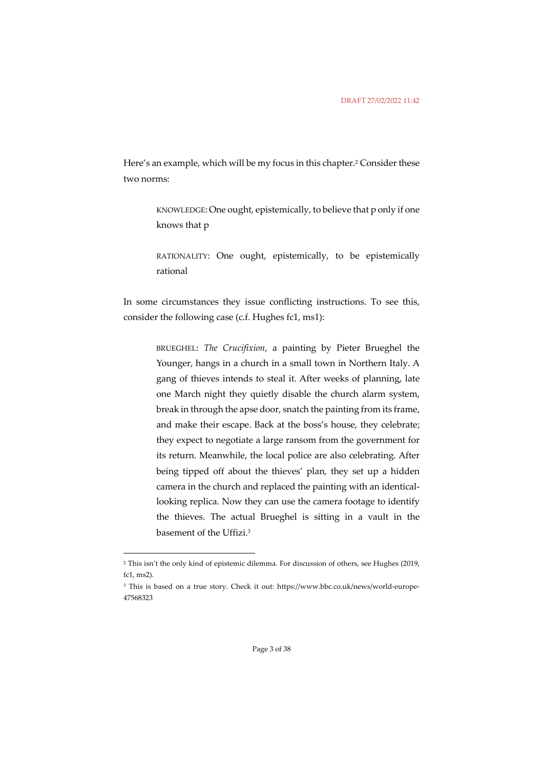Here's an example, which will be my focus in this chapter.<sup>2</sup> Consider these two norms:

> KNOWLEDGE:One ought, epistemically, to believe that p only if one knows that p

> RATIONALITY: One ought, epistemically, to be epistemically rational

In some circumstances they issue conflicting instructions. To see this, consider the following case (c.f. Hughes fc1, ms1):

> BRUEGHEL: *The Crucifixion*, a painting by Pieter Brueghel the Younger, hangs in a church in a small town in Northern Italy. A gang of thieves intends to steal it. After weeks of planning, late one March night they quietly disable the church alarm system, break in through the apse door, snatch the painting from its frame, and make their escape. Back at the boss's house, they celebrate; they expect to negotiate a large ransom from the government for its return. Meanwhile, the local police are also celebrating. After being tipped off about the thieves' plan, they set up a hidden camera in the church and replaced the painting with an identicallooking replica. Now they can use the camera footage to identify the thieves. The actual Brueghel is sitting in a vault in the basement of the Uffizi.3

<sup>2</sup> This isn't the only kind of epistemic dilemma. For discussion of others, see Hughes (2019, fc1, ms2).

<sup>3</sup> This is based on a true story. Check it out: https://www.bbc.co.uk/news/world-europe-47568323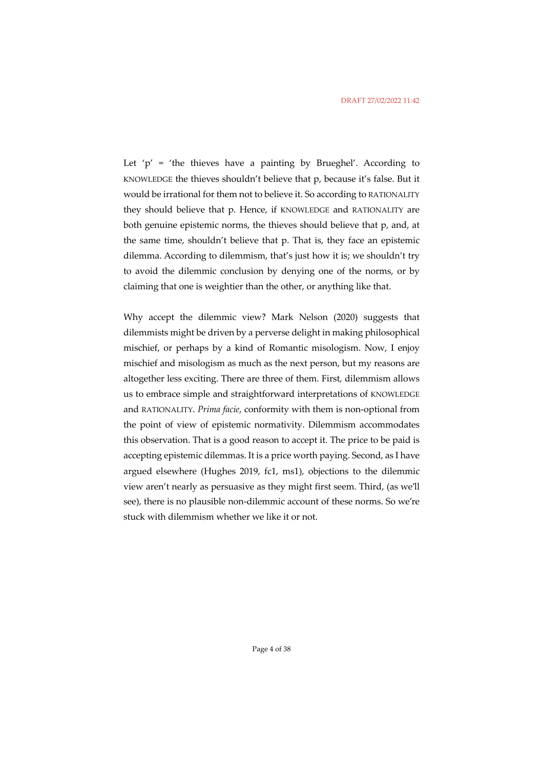Let ' $p'$  = 'the thieves have a painting by Brueghel'. According to KNOWLEDGE the thieves shouldn't believe that p, because it's false. But it would be irrational for them not to believe it. So according to RATIONALITY they should believe that p. Hence, if KNOWLEDGE and RATIONALITY are both genuine epistemic norms, the thieves should believe that p, and, at the same time, shouldn't believe that p. That is, they face an epistemic dilemma. According to dilemmism, that's just how it is; we shouldn't try to avoid the dilemmic conclusion by denying one of the norms, or by claiming that one is weightier than the other, or anything like that.

Why accept the dilemmic view? Mark Nelson (2020) suggests that dilemmists might be driven by a perverse delight in making philosophical mischief, or perhaps by a kind of Romantic misologism. Now, I enjoy mischief and misologism as much as the next person, but my reasons are altogether less exciting. There are three of them. First, dilemmism allows us to embrace simple and straightforward interpretations of KNOWLEDGE and RATIONALITY. *Prima facie*, conformity with them is non-optional from the point of view of epistemic normativity. Dilemmism accommodates this observation. That is a good reason to accept it. The price to be paid is accepting epistemic dilemmas. It is a price worth paying. Second, as I have argued elsewhere (Hughes 2019, fc1, ms1), objections to the dilemmic view aren't nearly as persuasive as they might first seem. Third, (as we'll see), there is no plausible non-dilemmic account of these norms. So we're stuck with dilemmism whether we like it or not.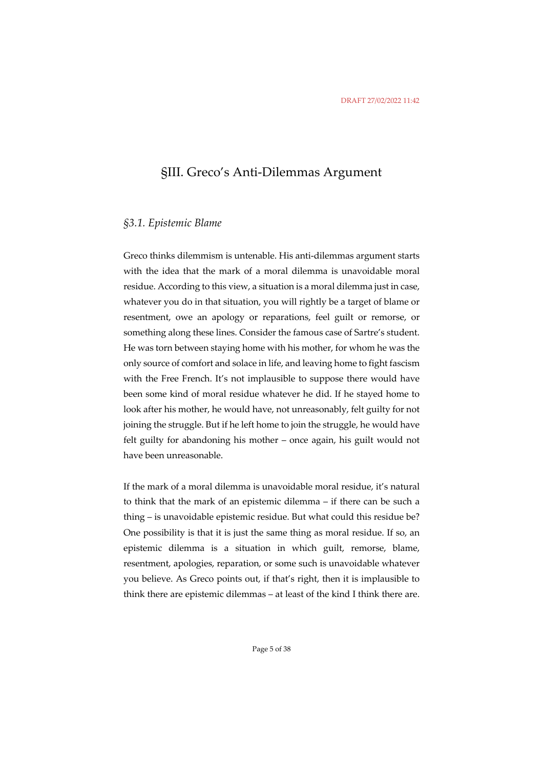# §III. Greco's Anti-Dilemmas Argument

#### *§3.1. Epistemic Blame*

Greco thinks dilemmism is untenable. His anti-dilemmas argument starts with the idea that the mark of a moral dilemma is unavoidable moral residue. According to this view, a situation is a moral dilemma just in case, whatever you do in that situation, you will rightly be a target of blame or resentment, owe an apology or reparations, feel guilt or remorse, or something along these lines. Consider the famous case of Sartre's student. He was torn between staying home with his mother, for whom he was the only source of comfort and solace in life, and leaving home to fight fascism with the Free French. It's not implausible to suppose there would have been some kind of moral residue whatever he did. If he stayed home to look after his mother, he would have, not unreasonably, felt guilty for not joining the struggle. But if he left home to join the struggle, he would have felt guilty for abandoning his mother – once again, his guilt would not have been unreasonable.

If the mark of a moral dilemma is unavoidable moral residue, it's natural to think that the mark of an epistemic dilemma – if there can be such a thing – is unavoidable epistemic residue. But what could this residue be? One possibility is that it is just the same thing as moral residue. If so, an epistemic dilemma is a situation in which guilt, remorse, blame, resentment, apologies, reparation, or some such is unavoidable whatever you believe. As Greco points out, if that's right, then it is implausible to think there are epistemic dilemmas – at least of the kind I think there are.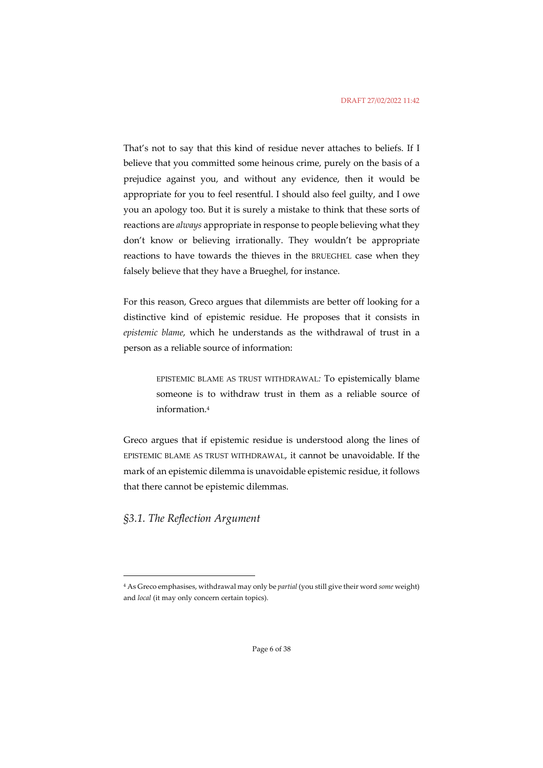That's not to say that this kind of residue never attaches to beliefs. If I believe that you committed some heinous crime, purely on the basis of a prejudice against you, and without any evidence, then it would be appropriate for you to feel resentful. I should also feel guilty, and I owe you an apology too. But it is surely a mistake to think that these sorts of reactions are *always* appropriate in response to people believing what they don't know or believing irrationally. They wouldn't be appropriate reactions to have towards the thieves in the BRUEGHEL case when they falsely believe that they have a Brueghel, for instance.

For this reason, Greco argues that dilemmists are better off looking for a distinctive kind of epistemic residue. He proposes that it consists in *epistemic blame*, which he understands as the withdrawal of trust in a person as a reliable source of information:

> EPISTEMIC BLAME AS TRUST WITHDRAWAL*:* To epistemically blame someone is to withdraw trust in them as a reliable source of information.4

Greco argues that if epistemic residue is understood along the lines of EPISTEMIC BLAME AS TRUST WITHDRAWAL, it cannot be unavoidable. If the mark of an epistemic dilemma is unavoidable epistemic residue, it follows that there cannot be epistemic dilemmas.

*§3.1. The Reflection Argument*

<sup>4</sup> As Greco emphasises, withdrawal may only be *partial* (you still give their word *some* weight) and *local* (it may only concern certain topics).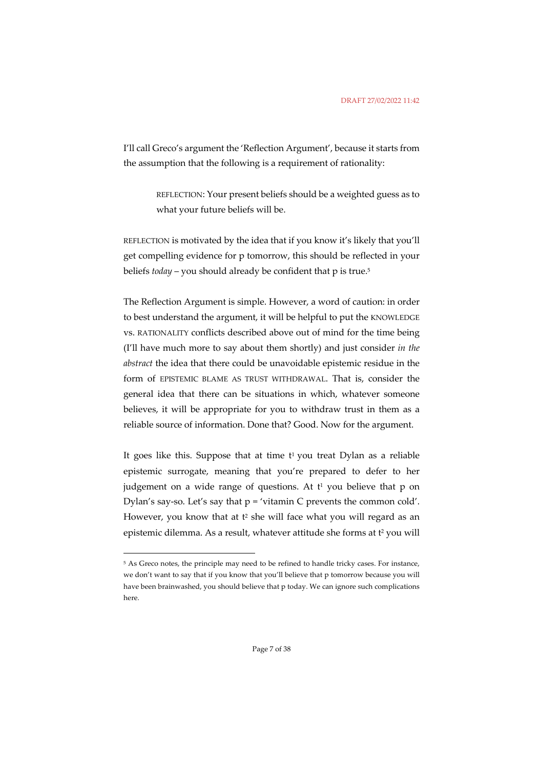I'll call Greco's argument the 'Reflection Argument', because it starts from the assumption that the following is a requirement of rationality:

> REFLECTION: Your present beliefs should be a weighted guess as to what your future beliefs will be.

REFLECTION is motivated by the idea that if you know it's likely that you'll get compelling evidence for p tomorrow, this should be reflected in your beliefs *today* – you should already be confident that p is true.5

The Reflection Argument is simple. However, a word of caution: in order to best understand the argument, it will be helpful to put the KNOWLEDGE vs. RATIONALITY conflicts described above out of mind for the time being (I'll have much more to say about them shortly) and just consider *in the abstract* the idea that there could be unavoidable epistemic residue in the form of EPISTEMIC BLAME AS TRUST WITHDRAWAL. That is, consider the general idea that there can be situations in which, whatever someone believes, it will be appropriate for you to withdraw trust in them as a reliable source of information. Done that? Good. Now for the argument.

It goes like this. Suppose that at time  $t<sup>1</sup>$  you treat Dylan as a reliable epistemic surrogate, meaning that you're prepared to defer to her judgement on a wide range of questions. At  $t<sup>1</sup>$  you believe that p on Dylan's say-so. Let's say that  $p = 'v$ itamin C prevents the common cold'. However, you know that at t<sup>2</sup> she will face what you will regard as an epistemic dilemma. As a result, whatever attitude she forms at t<sup>2</sup> you will

<sup>&</sup>lt;sup>5</sup> As Greco notes, the principle may need to be refined to handle tricky cases. For instance, we don't want to say that if you know that you'll believe that p tomorrow because you will have been brainwashed, you should believe that p today. We can ignore such complications here.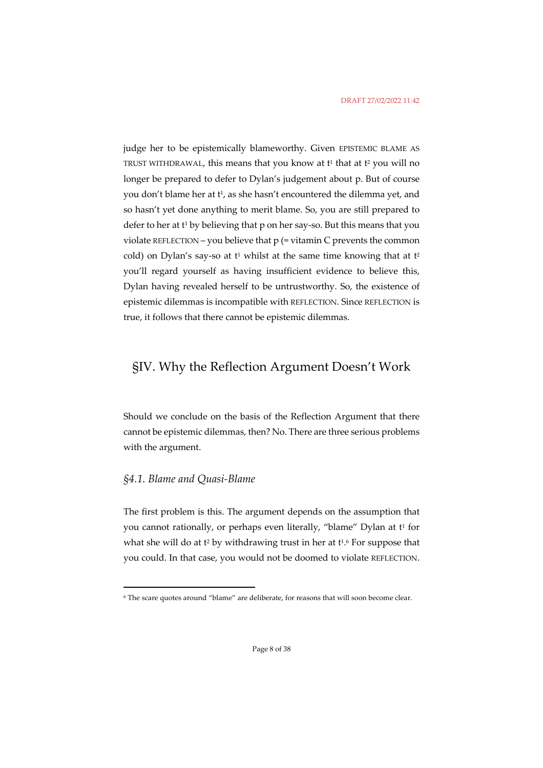judge her to be epistemically blameworthy. Given EPISTEMIC BLAME AS TRUST WITHDRAWAL, this means that you know at  $t^1$  that at  $t^2$  you will no longer be prepared to defer to Dylan's judgement about p. But of course you don't blame her at t<sup>1</sup>, as she hasn't encountered the dilemma yet, and so hasn't yet done anything to merit blame. So, you are still prepared to defer to her at t<sup>1</sup> by believing that p on her say-so. But this means that you violate REFLECTION – you believe that  $p$  (= vitamin C prevents the common cold) on Dylan's say-so at  $t^1$  whilst at the same time knowing that at  $t^2$ you'll regard yourself as having insufficient evidence to believe this, Dylan having revealed herself to be untrustworthy. So, the existence of epistemic dilemmas is incompatible with REFLECTION. Since REFLECTION is true, it follows that there cannot be epistemic dilemmas.

### §IV. Why the Reflection Argument Doesn't Work

Should we conclude on the basis of the Reflection Argument that there cannot be epistemic dilemmas, then? No. There are three serious problems with the argument.

### *§4.1. Blame and Quasi-Blame*

The first problem is this. The argument depends on the assumption that you cannot rationally, or perhaps even literally, "blame" Dylan at t<sup>1</sup> for what she will do at t<sup>2</sup> by withdrawing trust in her at t<sup>16</sup>. For suppose that you could. In that case, you would not be doomed to violate REFLECTION.

<sup>6</sup> The scare quotes around "blame" are deliberate, for reasons that will soon become clear.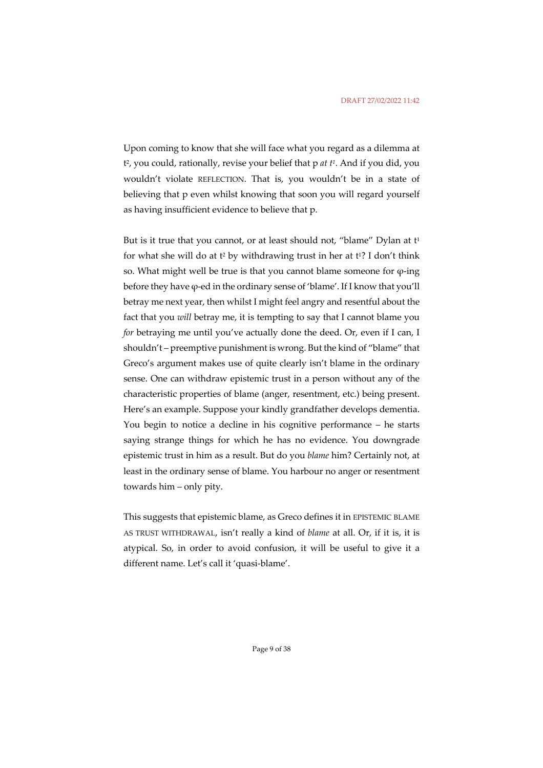Upon coming to know that she will face what you regard as a dilemma at t2, you could, rationally, revise your belief that p *at t1*. And if you did, you wouldn't violate REFLECTION. That is, you wouldn't be in a state of believing that p even whilst knowing that soon you will regard yourself as having insufficient evidence to believe that p.

But is it true that you cannot, or at least should not, "blame" Dylan at  $t<sup>1</sup>$ for what she will do at  $t^2$  by withdrawing trust in her at  $t^1$ ? I don't think so. What might well be true is that you cannot blame someone for  $\varphi$ -ing before they have φ-ed in the ordinary sense of 'blame'. If I know that you'll betray me next year, then whilst I might feel angry and resentful about the fact that you *will* betray me, it is tempting to say that I cannot blame you *for* betraying me until you've actually done the deed. Or, even if I can, I shouldn't – preemptive punishment is wrong. But the kind of "blame" that Greco's argument makes use of quite clearly isn't blame in the ordinary sense. One can withdraw epistemic trust in a person without any of the characteristic properties of blame (anger, resentment, etc.) being present. Here's an example. Suppose your kindly grandfather develops dementia. You begin to notice a decline in his cognitive performance – he starts saying strange things for which he has no evidence. You downgrade epistemic trust in him as a result. But do you *blame* him? Certainly not, at least in the ordinary sense of blame. You harbour no anger or resentment towards him – only pity.

This suggests that epistemic blame, as Greco defines it in EPISTEMIC BLAME AS TRUST WITHDRAWAL, isn't really a kind of *blame* at all. Or, if it is, it is atypical. So, in order to avoid confusion, it will be useful to give it a different name. Let's call it 'quasi-blame'.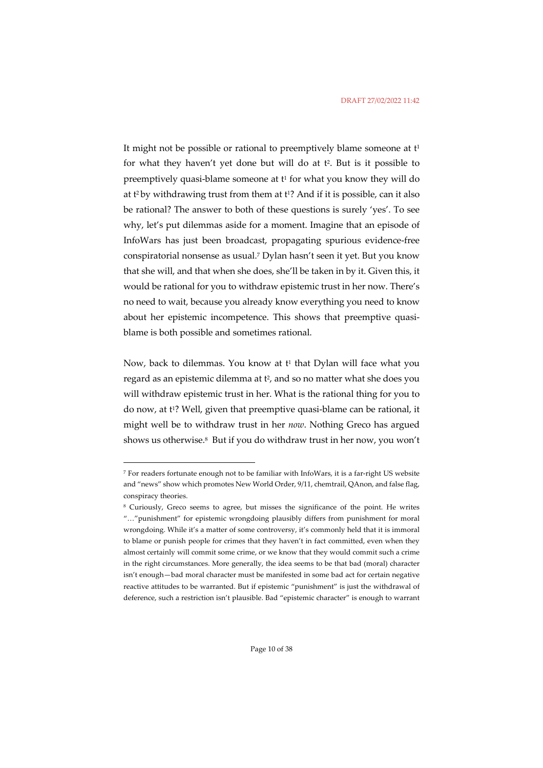It might not be possible or rational to preemptively blame someone at  $t<sup>1</sup>$ for what they haven't yet done but will do at  $t^2$ . But is it possible to preemptively quasi-blame someone at  $t^1$  for what you know they will do at  $t^2$  by withdrawing trust from them at  $t^1$ ? And if it is possible, can it also be rational? The answer to both of these questions is surely 'yes'. To see why, let's put dilemmas aside for a moment. Imagine that an episode of InfoWars has just been broadcast, propagating spurious evidence-free conspiratorial nonsense as usual.7 Dylan hasn't seen it yet. But you know that she will, and that when she does, she'll be taken in by it. Given this, it would be rational for you to withdraw epistemic trust in her now. There's no need to wait, because you already know everything you need to know about her epistemic incompetence. This shows that preemptive quasiblame is both possible and sometimes rational.

Now, back to dilemmas. You know at  $t^1$  that Dylan will face what you regard as an epistemic dilemma at t<sup>2</sup>, and so no matter what she does you will withdraw epistemic trust in her. What is the rational thing for you to do now, at t<sup>1</sup>? Well, given that preemptive quasi-blame can be rational, it might well be to withdraw trust in her *now*. Nothing Greco has argued shows us otherwise.8 But if you do withdraw trust in her now, you won't

<sup>7</sup> For readers fortunate enough not to be familiar with InfoWars, it is a far-right US website and "news" show which promotes New World Order, 9/11, chemtrail, QAnon, and false flag, conspiracy theories.

<sup>8</sup> Curiously, Greco seems to agree, but misses the significance of the point. He writes "…"punishment" for epistemic wrongdoing plausibly differs from punishment for moral wrongdoing. While it's a matter of some controversy, it's commonly held that it is immoral to blame or punish people for crimes that they haven't in fact committed, even when they almost certainly will commit some crime, or we know that they would commit such a crime in the right circumstances. More generally, the idea seems to be that bad (moral) character isn't enough—bad moral character must be manifested in some bad act for certain negative reactive attitudes to be warranted. But if epistemic "punishment" is just the withdrawal of deference, such a restriction isn't plausible. Bad "epistemic character" is enough to warrant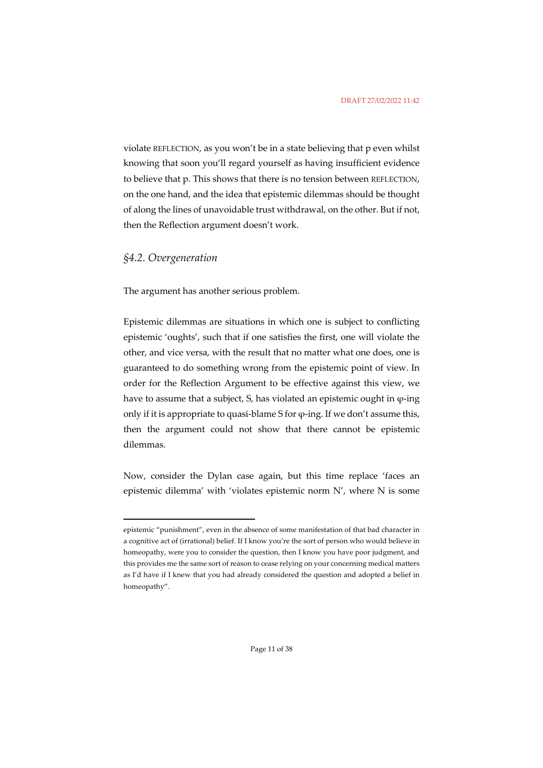violate REFLECTION, as you won't be in a state believing that p even whilst knowing that soon you'll regard yourself as having insufficient evidence to believe that p. This shows that there is no tension between REFLECTION, on the one hand, and the idea that epistemic dilemmas should be thought of along the lines of unavoidable trust withdrawal, on the other. But if not, then the Reflection argument doesn't work.

### *§4.2. Overgeneration*

The argument has another serious problem.

Epistemic dilemmas are situations in which one is subject to conflicting epistemic 'oughts', such that if one satisfies the first, one will violate the other, and vice versa, with the result that no matter what one does, one is guaranteed to do something wrong from the epistemic point of view. In order for the Reflection Argument to be effective against this view, we have to assume that a subject, S, has violated an epistemic ought in  $\varphi$ -ing only if it is appropriate to quasi-blame S for  $\varphi$ -ing. If we don't assume this, then the argument could not show that there cannot be epistemic dilemmas.

Now, consider the Dylan case again, but this time replace 'faces an epistemic dilemma' with 'violates epistemic norm N', where N is some

epistemic "punishment", even in the absence of some manifestation of that bad character in a cognitive act of (irrational) belief. If I know you're the sort of person who would believe in homeopathy, were you to consider the question, then I know you have poor judgment, and this provides me the same sort of reason to cease relying on your concerning medical matters as I'd have if I knew that you had already considered the question and adopted a belief in homeopathy".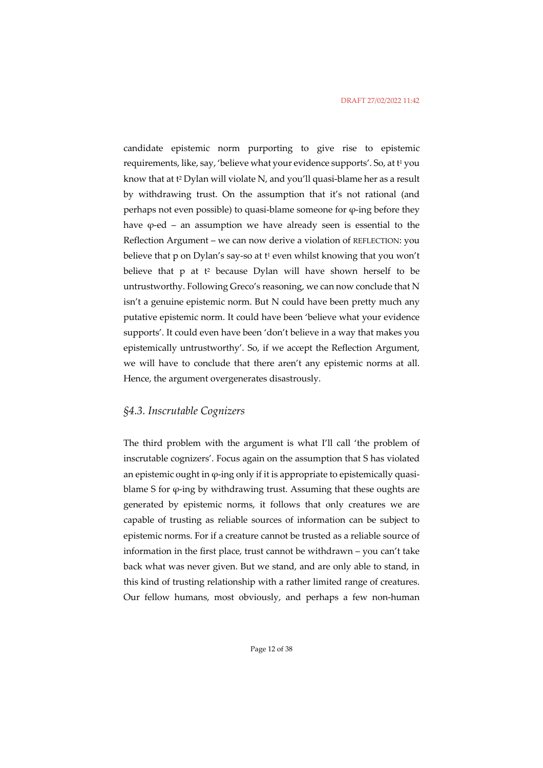candidate epistemic norm purporting to give rise to epistemic requirements, like, say, 'believe what your evidence supports'. So, at t<sup>1</sup> you know that at t2 Dylan will violate N, and you'll quasi-blame her as a result by withdrawing trust. On the assumption that it's not rational (and perhaps not even possible) to quasi-blame someone for φ-ing before they have  $\varphi$ -ed – an assumption we have already seen is essential to the Reflection Argument – we can now derive a violation of REFLECTION: you believe that p on Dylan's say-so at  $t^1$  even whilst knowing that you won't believe that  $p$  at  $t^2$  because Dylan will have shown herself to be untrustworthy. Following Greco's reasoning, we can now conclude that N isn't a genuine epistemic norm. But N could have been pretty much any putative epistemic norm. It could have been 'believe what your evidence supports'. It could even have been 'don't believe in a way that makes you epistemically untrustworthy'. So, if we accept the Reflection Argument, we will have to conclude that there aren't any epistemic norms at all. Hence, the argument overgenerates disastrously.

### *§4.3. Inscrutable Cognizers*

The third problem with the argument is what I'll call 'the problem of inscrutable cognizers'. Focus again on the assumption that S has violated an epistemic ought in  $\varphi$ -ing only if it is appropriate to epistemically quasiblame S for φ-ing by withdrawing trust. Assuming that these oughts are generated by epistemic norms, it follows that only creatures we are capable of trusting as reliable sources of information can be subject to epistemic norms. For if a creature cannot be trusted as a reliable source of information in the first place, trust cannot be withdrawn – you can't take back what was never given. But we stand, and are only able to stand, in this kind of trusting relationship with a rather limited range of creatures. Our fellow humans, most obviously, and perhaps a few non-human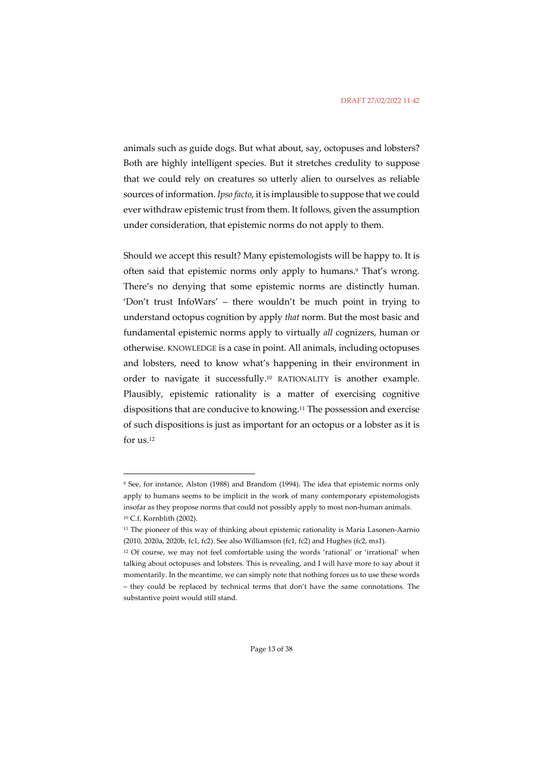animals such as guide dogs. But what about, say, octopuses and lobsters? Both are highly intelligent species. But it stretches credulity to suppose that we could rely on creatures so utterly alien to ourselves as reliable sources of information. *Ipso facto*, it is implausible to suppose that we could ever withdraw epistemic trust from them. It follows, given the assumption under consideration, that epistemic norms do not apply to them.

Should we accept this result? Many epistemologists will be happy to. It is often said that epistemic norms only apply to humans.<sup>9</sup> That's wrong. There's no denying that some epistemic norms are distinctly human. 'Don't trust InfoWars' – there wouldn't be much point in trying to understand octopus cognition by apply *that* norm. But the most basic and fundamental epistemic norms apply to virtually *all* cognizers, human or otherwise. KNOWLEDGE is a case in point. All animals, including octopuses and lobsters, need to know what's happening in their environment in order to navigate it successfully.10 RATIONALITY is another example. Plausibly, epistemic rationality is a matter of exercising cognitive dispositions that are conducive to knowing.11 The possession and exercise of such dispositions is just as important for an octopus or a lobster as it is for us.12

<sup>9</sup> See, for instance, Alston (1988) and Brandom (1994). The idea that epistemic norms only apply to humans seems to be implicit in the work of many contemporary epistemologists insofar as they propose norms that could not possibly apply to most non-human animals. <sup>10</sup> C.f. Kornblith (2002).

<sup>&</sup>lt;sup>11</sup> The pioneer of this way of thinking about epistemic rationality is Maria Lasonen-Aarnio (2010, 2020a, 2020b, fc1, fc2). See also Williamson (fc1, fc2) and Hughes (fc2, ms1).

<sup>&</sup>lt;sup>12</sup> Of course, we may not feel comfortable using the words 'rational' or 'irrational' when talking about octopuses and lobsters. This is revealing, and I will have more to say about it momentarily. In the meantime, we can simply note that nothing forces us to use these words – they could be replaced by technical terms that don't have the same connotations. The substantive point would still stand.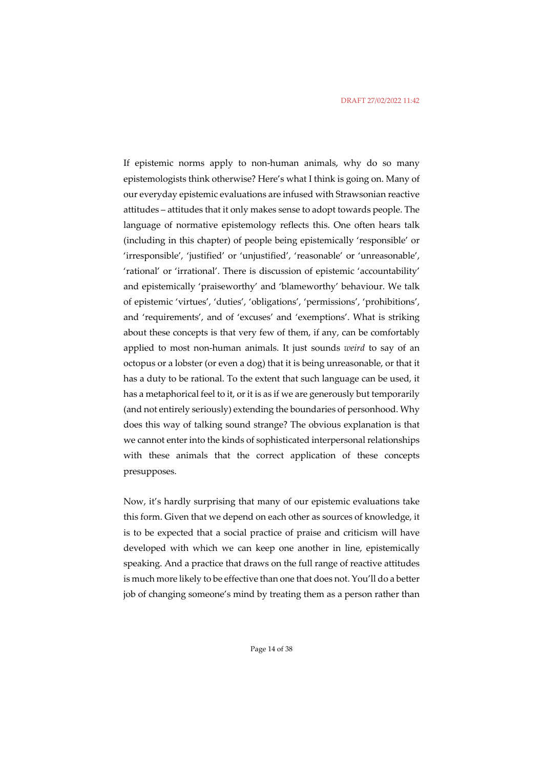If epistemic norms apply to non-human animals, why do so many epistemologists think otherwise? Here's what I think is going on. Many of our everyday epistemic evaluations are infused with Strawsonian reactive attitudes – attitudes that it only makes sense to adopt towards people. The language of normative epistemology reflects this. One often hears talk (including in this chapter) of people being epistemically 'responsible' or 'irresponsible', 'justified' or 'unjustified', 'reasonable' or 'unreasonable', 'rational' or 'irrational'. There is discussion of epistemic 'accountability' and epistemically 'praiseworthy' and 'blameworthy' behaviour. We talk of epistemic 'virtues', 'duties', 'obligations', 'permissions', 'prohibitions', and 'requirements', and of 'excuses' and 'exemptions'. What is striking about these concepts is that very few of them, if any, can be comfortably applied to most non-human animals. It just sounds *weird* to say of an octopus or a lobster (or even a dog) that it is being unreasonable, or that it has a duty to be rational. To the extent that such language can be used, it has a metaphorical feel to it, or it is as if we are generously but temporarily (and not entirely seriously) extending the boundaries of personhood. Why does this way of talking sound strange? The obvious explanation is that we cannot enter into the kinds of sophisticated interpersonal relationships with these animals that the correct application of these concepts presupposes.

Now, it's hardly surprising that many of our epistemic evaluations take this form. Given that we depend on each other as sources of knowledge, it is to be expected that a social practice of praise and criticism will have developed with which we can keep one another in line, epistemically speaking. And a practice that draws on the full range of reactive attitudes is much more likely to be effective than one that does not. You'll do a better job of changing someone's mind by treating them as a person rather than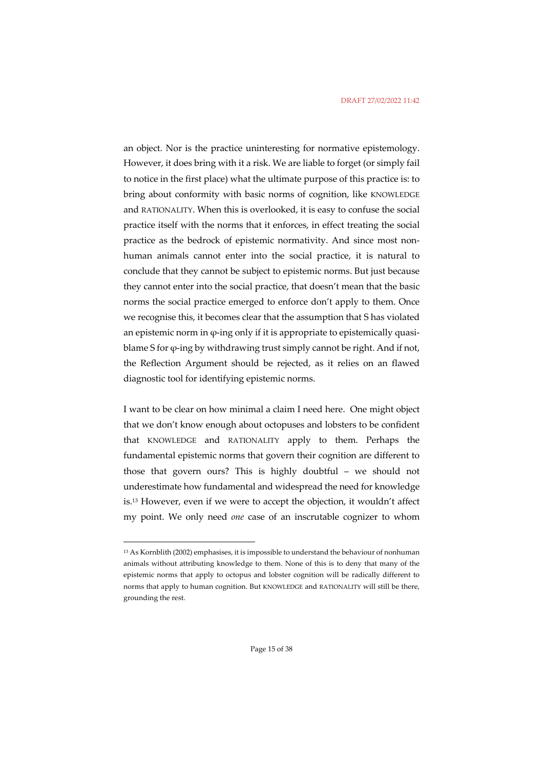#### DRAFT 27/02/2022 11:42

an object. Nor is the practice uninteresting for normative epistemology. However, it does bring with it a risk. We are liable to forget (or simply fail to notice in the first place) what the ultimate purpose of this practice is: to bring about conformity with basic norms of cognition, like KNOWLEDGE and RATIONALITY. When this is overlooked, it is easy to confuse the social practice itself with the norms that it enforces, in effect treating the social practice as the bedrock of epistemic normativity. And since most nonhuman animals cannot enter into the social practice, it is natural to conclude that they cannot be subject to epistemic norms. But just because they cannot enter into the social practice, that doesn't mean that the basic norms the social practice emerged to enforce don't apply to them. Once we recognise this, it becomes clear that the assumption that S has violated an epistemic norm in φ-ing only if it is appropriate to epistemically quasiblame S for  $\varphi$ -ing by withdrawing trust simply cannot be right. And if not, the Reflection Argument should be rejected, as it relies on an flawed diagnostic tool for identifying epistemic norms.

I want to be clear on how minimal a claim I need here. One might object that we don't know enough about octopuses and lobsters to be confident that KNOWLEDGE and RATIONALITY apply to them. Perhaps the fundamental epistemic norms that govern their cognition are different to those that govern ours? This is highly doubtful – we should not underestimate how fundamental and widespread the need for knowledge is.13 However, even if we were to accept the objection, it wouldn't affect my point. We only need *one* case of an inscrutable cognizer to whom

<sup>13</sup> As Kornblith (2002) emphasises, it is impossible to understand the behaviour of nonhuman animals without attributing knowledge to them. None of this is to deny that many of the epistemic norms that apply to octopus and lobster cognition will be radically different to norms that apply to human cognition. But KNOWLEDGE and RATIONALITY will still be there, grounding the rest.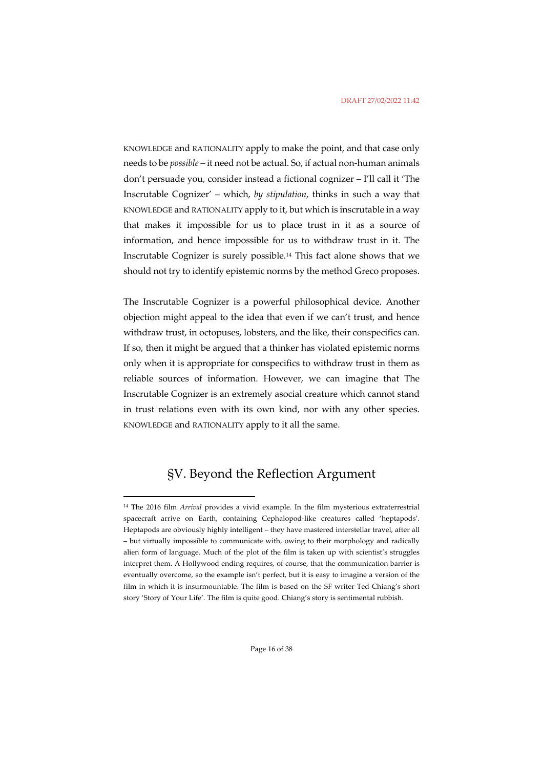KNOWLEDGE and RATIONALITY apply to make the point, and that case only needs to be *possible –* it need not be actual. So, if actual non-human animals don't persuade you, consider instead a fictional cognizer – I'll call it 'The Inscrutable Cognizer' – which, *by stipulation*, thinks in such a way that KNOWLEDGE and RATIONALITY apply to it, but which is inscrutable in a way that makes it impossible for us to place trust in it as a source of information, and hence impossible for us to withdraw trust in it. The Inscrutable Cognizer is surely possible.14 This fact alone shows that we should not try to identify epistemic norms by the method Greco proposes.

The Inscrutable Cognizer is a powerful philosophical device. Another objection might appeal to the idea that even if we can't trust, and hence withdraw trust, in octopuses, lobsters, and the like, their conspecifics can. If so, then it might be argued that a thinker has violated epistemic norms only when it is appropriate for conspecifics to withdraw trust in them as reliable sources of information. However, we can imagine that The Inscrutable Cognizer is an extremely asocial creature which cannot stand in trust relations even with its own kind, nor with any other species. KNOWLEDGE and RATIONALITY apply to it all the same.

## §V. Beyond the Reflection Argument

<sup>14</sup> The 2016 film *Arrival* provides a vivid example. In the film mysterious extraterrestrial spacecraft arrive on Earth, containing Cephalopod-like creatures called 'heptapods'. Heptapods are obviously highly intelligent – they have mastered interstellar travel, after all – but virtually impossible to communicate with, owing to their morphology and radically alien form of language. Much of the plot of the film is taken up with scientist's struggles interpret them. A Hollywood ending requires, of course, that the communication barrier is eventually overcome, so the example isn't perfect, but it is easy to imagine a version of the film in which it is insurmountable. The film is based on the SF writer Ted Chiang's short story 'Story of Your Life'. The film is quite good. Chiang's story is sentimental rubbish.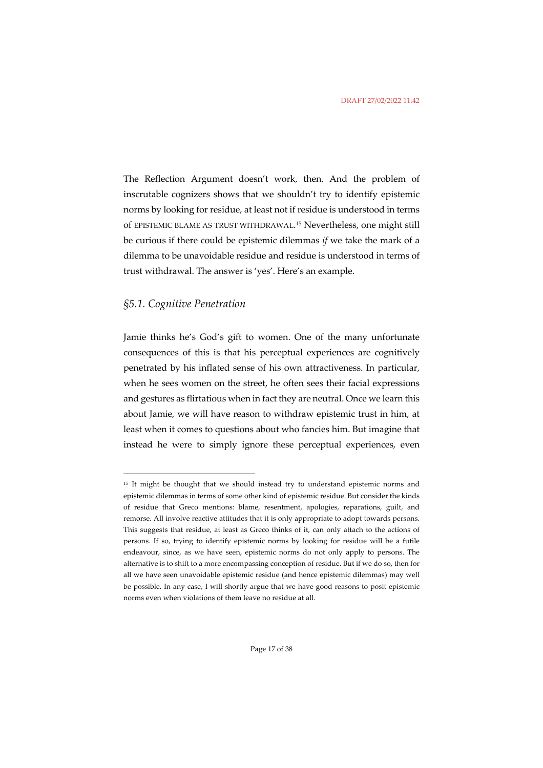The Reflection Argument doesn't work, then. And the problem of inscrutable cognizers shows that we shouldn't try to identify epistemic norms by looking for residue, at least not if residue is understood in terms of EPISTEMIC BLAME AS TRUST WITHDRAWAL.15 Nevertheless, one might still be curious if there could be epistemic dilemmas *if* we take the mark of a dilemma to be unavoidable residue and residue is understood in terms of trust withdrawal. The answer is 'yes'. Here's an example.

### *§5.1. Cognitive Penetration*

Jamie thinks he's God's gift to women. One of the many unfortunate consequences of this is that his perceptual experiences are cognitively penetrated by his inflated sense of his own attractiveness. In particular, when he sees women on the street, he often sees their facial expressions and gestures as flirtatious when in fact they are neutral. Once we learn this about Jamie, we will have reason to withdraw epistemic trust in him, at least when it comes to questions about who fancies him. But imagine that instead he were to simply ignore these perceptual experiences, even

<sup>&</sup>lt;sup>15</sup> It might be thought that we should instead try to understand epistemic norms and epistemic dilemmas in terms of some other kind of epistemic residue. But consider the kinds of residue that Greco mentions: blame, resentment, apologies, reparations, guilt, and remorse. All involve reactive attitudes that it is only appropriate to adopt towards persons. This suggests that residue, at least as Greco thinks of it, can only attach to the actions of persons. If so, trying to identify epistemic norms by looking for residue will be a futile endeavour, since, as we have seen, epistemic norms do not only apply to persons. The alternative is to shift to a more encompassing conception of residue. But if we do so, then for all we have seen unavoidable epistemic residue (and hence epistemic dilemmas) may well be possible. In any case, I will shortly argue that we have good reasons to posit epistemic norms even when violations of them leave no residue at all.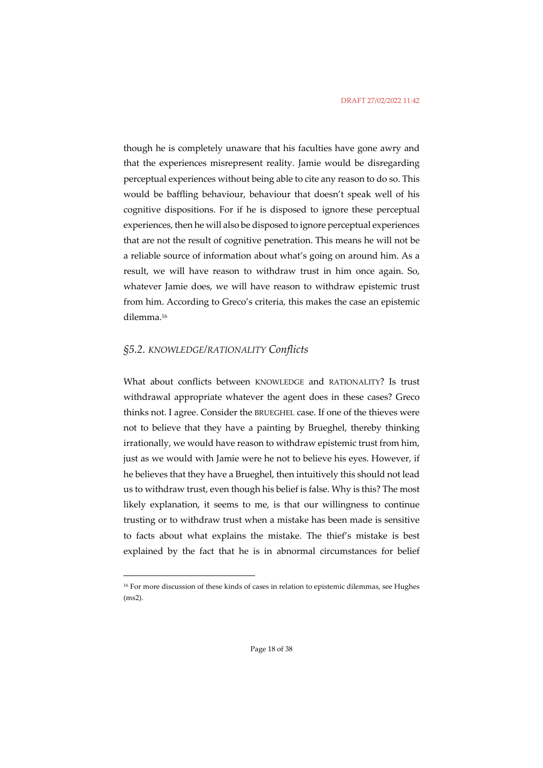though he is completely unaware that his faculties have gone awry and that the experiences misrepresent reality. Jamie would be disregarding perceptual experiences without being able to cite any reason to do so. This would be baffling behaviour, behaviour that doesn't speak well of his cognitive dispositions. For if he is disposed to ignore these perceptual experiences, then he will also be disposed to ignore perceptual experiences that are not the result of cognitive penetration. This means he will not be a reliable source of information about what's going on around him. As a result, we will have reason to withdraw trust in him once again. So, whatever Jamie does, we will have reason to withdraw epistemic trust from him. According to Greco's criteria, this makes the case an epistemic dilemma.16

#### *§5.2. KNOWLEDGE/RATIONALITY Conflicts*

What about conflicts between KNOWLEDGE and RATIONALITY? Is trust withdrawal appropriate whatever the agent does in these cases? Greco thinks not. I agree. Consider the BRUEGHEL case. If one of the thieves were not to believe that they have a painting by Brueghel, thereby thinking irrationally, we would have reason to withdraw epistemic trust from him, just as we would with Jamie were he not to believe his eyes. However, if he believes that they have a Brueghel, then intuitively this should not lead us to withdraw trust, even though his belief is false. Why is this? The most likely explanation, it seems to me, is that our willingness to continue trusting or to withdraw trust when a mistake has been made is sensitive to facts about what explains the mistake. The thief's mistake is best explained by the fact that he is in abnormal circumstances for belief

<sup>16</sup> For more discussion of these kinds of cases in relation to epistemic dilemmas, see Hughes (ms2).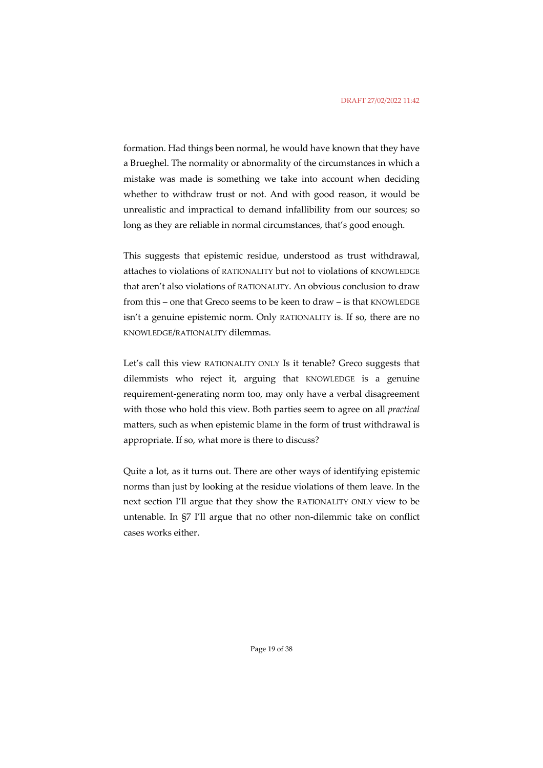formation. Had things been normal, he would have known that they have a Brueghel. The normality or abnormality of the circumstances in which a mistake was made is something we take into account when deciding whether to withdraw trust or not. And with good reason, it would be unrealistic and impractical to demand infallibility from our sources; so long as they are reliable in normal circumstances, that's good enough.

This suggests that epistemic residue, understood as trust withdrawal, attaches to violations of RATIONALITY but not to violations of KNOWLEDGE that aren't also violations of RATIONALITY. An obvious conclusion to draw from this – one that Greco seems to be keen to draw – is that KNOWLEDGE isn't a genuine epistemic norm. Only RATIONALITY is. If so, there are no KNOWLEDGE/RATIONALITY dilemmas.

Let's call this view RATIONALITY ONLY Is it tenable? Greco suggests that dilemmists who reject it, arguing that KNOWLEDGE is a genuine requirement-generating norm too, may only have a verbal disagreement with those who hold this view. Both parties seem to agree on all *practical* matters, such as when epistemic blame in the form of trust withdrawal is appropriate. If so, what more is there to discuss?

Quite a lot, as it turns out. There are other ways of identifying epistemic norms than just by looking at the residue violations of them leave. In the next section I'll argue that they show the RATIONALITY ONLY view to be untenable. In §7 I'll argue that no other non-dilemmic take on conflict cases works either.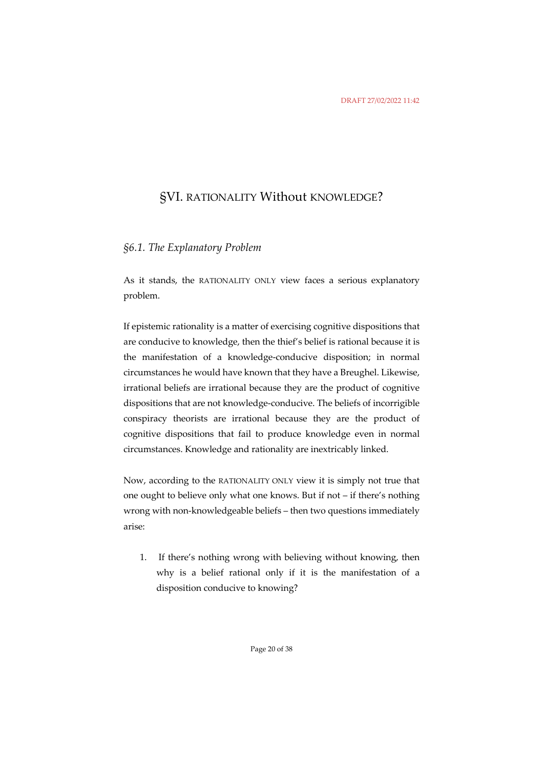### §VI. RATIONALITY Without KNOWLEDGE?

### *§6.1. The Explanatory Problem*

As it stands, the RATIONALITY ONLY view faces a serious explanatory problem.

If epistemic rationality is a matter of exercising cognitive dispositions that are conducive to knowledge, then the thief's belief is rational because it is the manifestation of a knowledge-conducive disposition; in normal circumstances he would have known that they have a Breughel. Likewise, irrational beliefs are irrational because they are the product of cognitive dispositions that are not knowledge-conducive. The beliefs of incorrigible conspiracy theorists are irrational because they are the product of cognitive dispositions that fail to produce knowledge even in normal circumstances. Knowledge and rationality are inextricably linked.

Now, according to the RATIONALITY ONLY view it is simply not true that one ought to believe only what one knows. But if not – if there's nothing wrong with non-knowledgeable beliefs – then two questions immediately arise:

1. If there's nothing wrong with believing without knowing, then why is a belief rational only if it is the manifestation of a disposition conducive to knowing?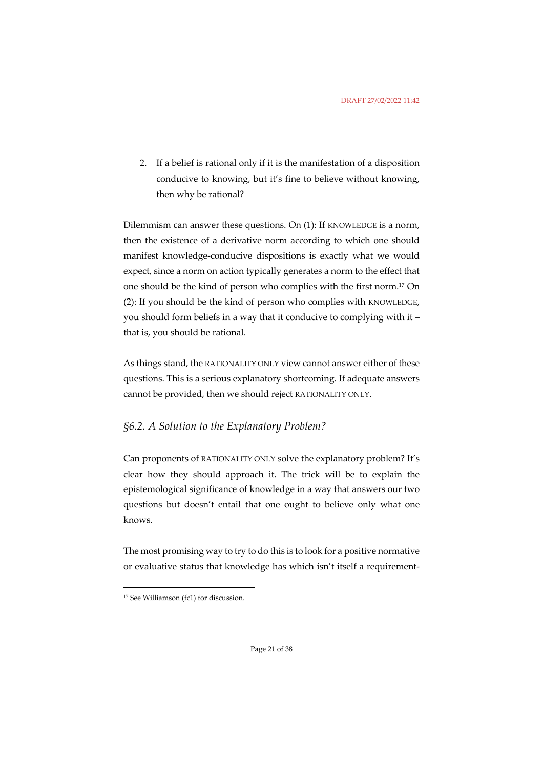2. If a belief is rational only if it is the manifestation of a disposition conducive to knowing, but it's fine to believe without knowing, then why be rational?

Dilemmism can answer these questions. On (1): If KNOWLEDGE is a norm, then the existence of a derivative norm according to which one should manifest knowledge-conducive dispositions is exactly what we would expect, since a norm on action typically generates a norm to the effect that one should be the kind of person who complies with the first norm.17 On (2): If you should be the kind of person who complies with KNOWLEDGE, you should form beliefs in a way that it conducive to complying with it – that is, you should be rational.

As things stand, the RATIONALITY ONLY view cannot answer either of these questions. This is a serious explanatory shortcoming. If adequate answers cannot be provided, then we should reject RATIONALITY ONLY.

### *§6.2. A Solution to the Explanatory Problem?*

Can proponents of RATIONALITY ONLY solve the explanatory problem? It's clear how they should approach it. The trick will be to explain the epistemological significance of knowledge in a way that answers our two questions but doesn't entail that one ought to believe only what one knows.

The most promising way to try to do this is to look for a positive normative or evaluative status that knowledge has which isn't itself a requirement-

<sup>17</sup> See Williamson (fc1) for discussion.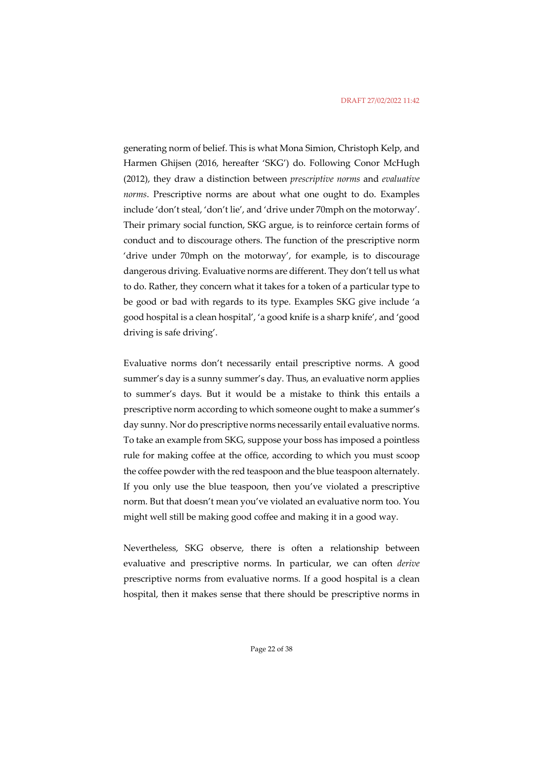generating norm of belief. This is what Mona Simion, Christoph Kelp, and Harmen Ghijsen (2016, hereafter 'SKG') do. Following Conor McHugh (2012), they draw a distinction between *prescriptive norms* and *evaluative norms*. Prescriptive norms are about what one ought to do. Examples include 'don't steal, 'don't lie', and 'drive under 70mph on the motorway'. Their primary social function, SKG argue, is to reinforce certain forms of conduct and to discourage others. The function of the prescriptive norm 'drive under 70mph on the motorway', for example, is to discourage dangerous driving. Evaluative norms are different. They don't tell us what to do. Rather, they concern what it takes for a token of a particular type to be good or bad with regards to its type. Examples SKG give include 'a good hospital is a clean hospital', 'a good knife is a sharp knife', and 'good driving is safe driving'.

Evaluative norms don't necessarily entail prescriptive norms. A good summer's day is a sunny summer's day. Thus, an evaluative norm applies to summer's days. But it would be a mistake to think this entails a prescriptive norm according to which someone ought to make a summer's day sunny. Nor do prescriptive norms necessarily entail evaluative norms. To take an example from SKG, suppose your boss has imposed a pointless rule for making coffee at the office, according to which you must scoop the coffee powder with the red teaspoon and the blue teaspoon alternately. If you only use the blue teaspoon, then you've violated a prescriptive norm. But that doesn't mean you've violated an evaluative norm too. You might well still be making good coffee and making it in a good way.

Nevertheless, SKG observe, there is often a relationship between evaluative and prescriptive norms. In particular, we can often *derive* prescriptive norms from evaluative norms. If a good hospital is a clean hospital, then it makes sense that there should be prescriptive norms in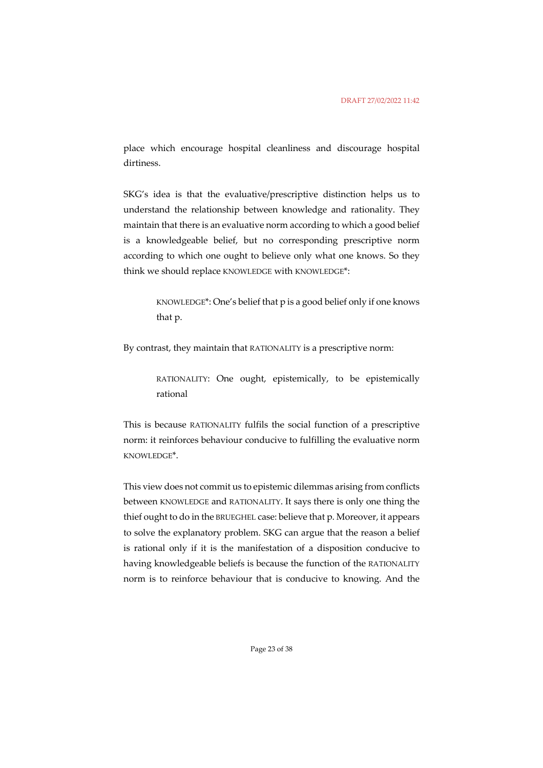place which encourage hospital cleanliness and discourage hospital dirtiness.

SKG's idea is that the evaluative/prescriptive distinction helps us to understand the relationship between knowledge and rationality. They maintain that there is an evaluative norm according to which a good belief is a knowledgeable belief, but no corresponding prescriptive norm according to which one ought to believe only what one knows. So they think we should replace KNOWLEDGE with KNOWLEDGE\*:

> KNOWLEDGE\*: One's belief that p is a good belief only if one knows that p.

By contrast, they maintain that RATIONALITY is a prescriptive norm:

RATIONALITY: One ought, epistemically, to be epistemically rational

This is because RATIONALITY fulfils the social function of a prescriptive norm: it reinforces behaviour conducive to fulfilling the evaluative norm KNOWLEDGE\*.

This view does not commit us to epistemic dilemmas arising from conflicts between KNOWLEDGE and RATIONALITY. It says there is only one thing the thief ought to do in the BRUEGHEL case: believe that p. Moreover, it appears to solve the explanatory problem. SKG can argue that the reason a belief is rational only if it is the manifestation of a disposition conducive to having knowledgeable beliefs is because the function of the RATIONALITY norm is to reinforce behaviour that is conducive to knowing. And the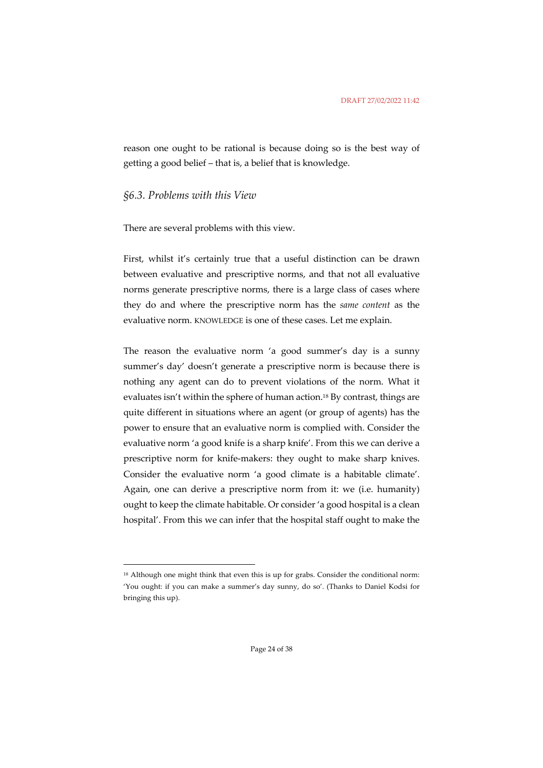reason one ought to be rational is because doing so is the best way of getting a good belief – that is, a belief that is knowledge.

### *§6.3. Problems with this View*

There are several problems with this view.

First, whilst it's certainly true that a useful distinction can be drawn between evaluative and prescriptive norms, and that not all evaluative norms generate prescriptive norms, there is a large class of cases where they do and where the prescriptive norm has the *same content* as the evaluative norm. KNOWLEDGE is one of these cases. Let me explain.

The reason the evaluative norm 'a good summer's day is a sunny summer's day' doesn't generate a prescriptive norm is because there is nothing any agent can do to prevent violations of the norm. What it evaluates isn't within the sphere of human action.18 By contrast, things are quite different in situations where an agent (or group of agents) has the power to ensure that an evaluative norm is complied with. Consider the evaluative norm 'a good knife is a sharp knife'. From this we can derive a prescriptive norm for knife-makers: they ought to make sharp knives. Consider the evaluative norm 'a good climate is a habitable climate'. Again, one can derive a prescriptive norm from it: we (i.e. humanity) ought to keep the climate habitable. Or consider 'a good hospital is a clean hospital'. From this we can infer that the hospital staff ought to make the

<sup>18</sup> Although one might think that even this is up for grabs. Consider the conditional norm: 'You ought: if you can make a summer's day sunny, do so'. (Thanks to Daniel Kodsi for bringing this up).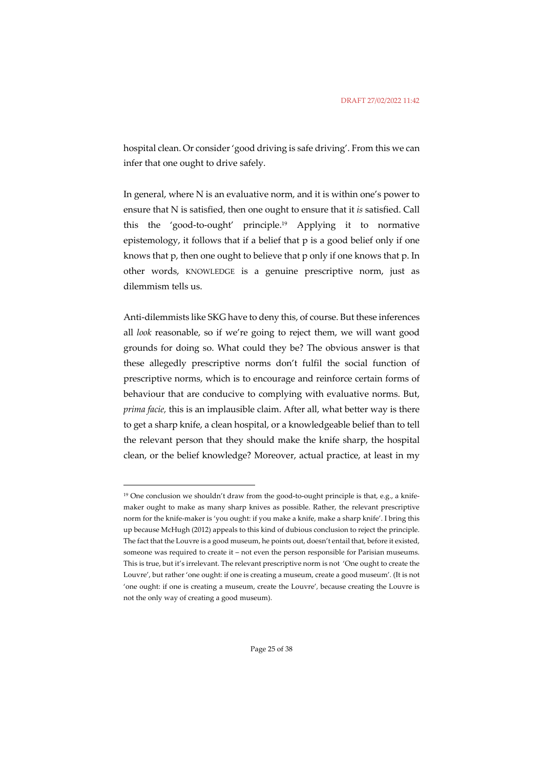hospital clean. Or consider 'good driving is safe driving'. From this we can infer that one ought to drive safely.

In general, where N is an evaluative norm, and it is within one's power to ensure that N is satisfied, then one ought to ensure that it *is* satisfied. Call this the 'good-to-ought' principle.19 Applying it to normative epistemology, it follows that if a belief that p is a good belief only if one knows that p, then one ought to believe that p only if one knows that p. In other words, KNOWLEDGE is a genuine prescriptive norm, just as dilemmism tells us.

Anti-dilemmists like SKG have to deny this, of course. But these inferences all *look* reasonable, so if we're going to reject them, we will want good grounds for doing so. What could they be? The obvious answer is that these allegedly prescriptive norms don't fulfil the social function of prescriptive norms, which is to encourage and reinforce certain forms of behaviour that are conducive to complying with evaluative norms. But, *prima facie,* this is an implausible claim. After all, what better way is there to get a sharp knife, a clean hospital, or a knowledgeable belief than to tell the relevant person that they should make the knife sharp, the hospital clean, or the belief knowledge? Moreover, actual practice, at least in my

<sup>&</sup>lt;sup>19</sup> One conclusion we shouldn't draw from the good-to-ought principle is that, e.g., a knifemaker ought to make as many sharp knives as possible. Rather, the relevant prescriptive norm for the knife-maker is 'you ought: if you make a knife, make a sharp knife'. I bring this up because McHugh (2012) appeals to this kind of dubious conclusion to reject the principle. The fact that the Louvre is a good museum, he points out, doesn't entail that, before it existed, someone was required to create it – not even the person responsible for Parisian museums. This is true, but it's irrelevant. The relevant prescriptive norm is not 'One ought to create the Louvre', but rather 'one ought: if one is creating a museum, create a good museum'*.* (It is not 'one ought: if one is creating a museum, create the Louvre'*,* because creating the Louvre is not the only way of creating a good museum).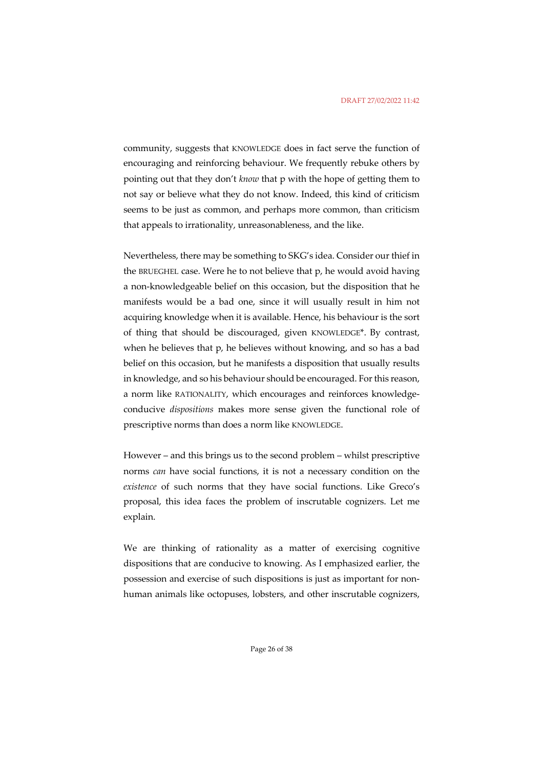community, suggests that KNOWLEDGE does in fact serve the function of encouraging and reinforcing behaviour. We frequently rebuke others by pointing out that they don't *know* that p with the hope of getting them to not say or believe what they do not know. Indeed, this kind of criticism seems to be just as common, and perhaps more common, than criticism that appeals to irrationality, unreasonableness, and the like.

Nevertheless, there may be something to SKG's idea. Consider our thief in the BRUEGHEL case. Were he to not believe that p, he would avoid having a non-knowledgeable belief on this occasion, but the disposition that he manifests would be a bad one, since it will usually result in him not acquiring knowledge when it is available. Hence, his behaviour is the sort of thing that should be discouraged, given KNOWLEDGE\*. By contrast, when he believes that p, he believes without knowing, and so has a bad belief on this occasion, but he manifests a disposition that usually results in knowledge, and so his behaviour should be encouraged. For this reason, a norm like RATIONALITY, which encourages and reinforces knowledgeconducive *dispositions* makes more sense given the functional role of prescriptive norms than does a norm like KNOWLEDGE.

However – and this brings us to the second problem – whilst prescriptive norms *can* have social functions, it is not a necessary condition on the *existence* of such norms that they have social functions. Like Greco's proposal, this idea faces the problem of inscrutable cognizers. Let me explain.

We are thinking of rationality as a matter of exercising cognitive dispositions that are conducive to knowing. As I emphasized earlier, the possession and exercise of such dispositions is just as important for nonhuman animals like octopuses, lobsters, and other inscrutable cognizers,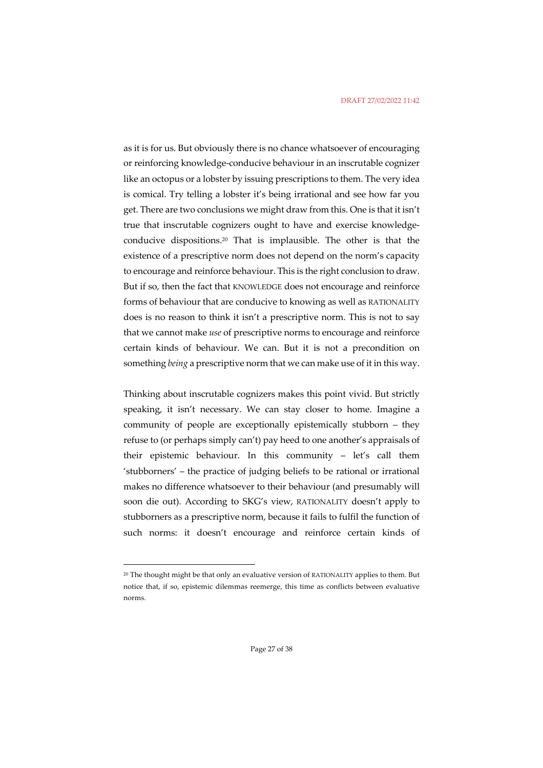#### DRAFT 27/02/2022 11:42

as it is for us. But obviously there is no chance whatsoever of encouraging or reinforcing knowledge-conducive behaviour in an inscrutable cognizer like an octopus or a lobster by issuing prescriptions to them. The very idea is comical. Try telling a lobster it's being irrational and see how far you get. There are two conclusions we might draw from this. One is that it isn't true that inscrutable cognizers ought to have and exercise knowledgeconducive dispositions.20 That is implausible. The other is that the existence of a prescriptive norm does not depend on the norm's capacity to encourage and reinforce behaviour. This is the right conclusion to draw. But if so, then the fact that KNOWLEDGE does not encourage and reinforce forms of behaviour that are conducive to knowing as well as RATIONALITY does is no reason to think it isn't a prescriptive norm. This is not to say that we cannot make *use* of prescriptive norms to encourage and reinforce certain kinds of behaviour. We can. But it is not a precondition on something *being* a prescriptive norm that we can make use of it in this way.

Thinking about inscrutable cognizers makes this point vivid. But strictly speaking, it isn't necessary. We can stay closer to home. Imagine a community of people are exceptionally epistemically stubborn – they refuse to (or perhaps simply can't) pay heed to one another's appraisals of their epistemic behaviour. In this community – let's call them 'stubborners' – the practice of judging beliefs to be rational or irrational makes no difference whatsoever to their behaviour (and presumably will soon die out). According to SKG's view, RATIONALITY doesn't apply to stubborners as a prescriptive norm, because it fails to fulfil the function of such norms: it doesn't encourage and reinforce certain kinds of

<sup>&</sup>lt;sup>20</sup> The thought might be that only an evaluative version of RATIONALITY applies to them. But notice that, if so, epistemic dilemmas reemerge, this time as conflicts between evaluative norms.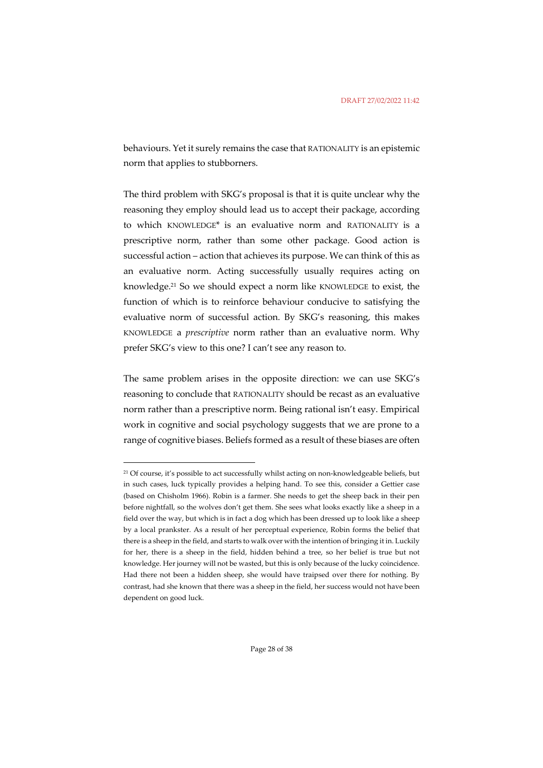behaviours. Yet it surely remains the case that RATIONALITY is an epistemic norm that applies to stubborners.

The third problem with SKG's proposal is that it is quite unclear why the reasoning they employ should lead us to accept their package, according to which KNOWLEDGE\* is an evaluative norm and RATIONALITY is a prescriptive norm, rather than some other package. Good action is successful action – action that achieves its purpose. We can think of this as an evaluative norm. Acting successfully usually requires acting on knowledge.21 So we should expect a norm like KNOWLEDGE to exist, the function of which is to reinforce behaviour conducive to satisfying the evaluative norm of successful action. By SKG's reasoning, this makes KNOWLEDGE a *prescriptive* norm rather than an evaluative norm. Why prefer SKG's view to this one? I can't see any reason to.

The same problem arises in the opposite direction: we can use SKG's reasoning to conclude that RATIONALITY should be recast as an evaluative norm rather than a prescriptive norm. Being rational isn't easy. Empirical work in cognitive and social psychology suggests that we are prone to a range of cognitive biases. Beliefs formed as a result of these biases are often

<sup>&</sup>lt;sup>21</sup> Of course, it's possible to act successfully whilst acting on non-knowledgeable beliefs, but in such cases, luck typically provides a helping hand. To see this, consider a Gettier case (based on Chisholm 1966). Robin is a farmer. She needs to get the sheep back in their pen before nightfall, so the wolves don't get them. She sees what looks exactly like a sheep in a field over the way, but which is in fact a dog which has been dressed up to look like a sheep by a local prankster. As a result of her perceptual experience, Robin forms the belief that there is a sheep in the field, and starts to walk over with the intention of bringing it in. Luckily for her, there is a sheep in the field, hidden behind a tree, so her belief is true but not knowledge. Her journey will not be wasted, but this is only because of the lucky coincidence. Had there not been a hidden sheep, she would have traipsed over there for nothing. By contrast, had she known that there was a sheep in the field, her success would not have been dependent on good luck.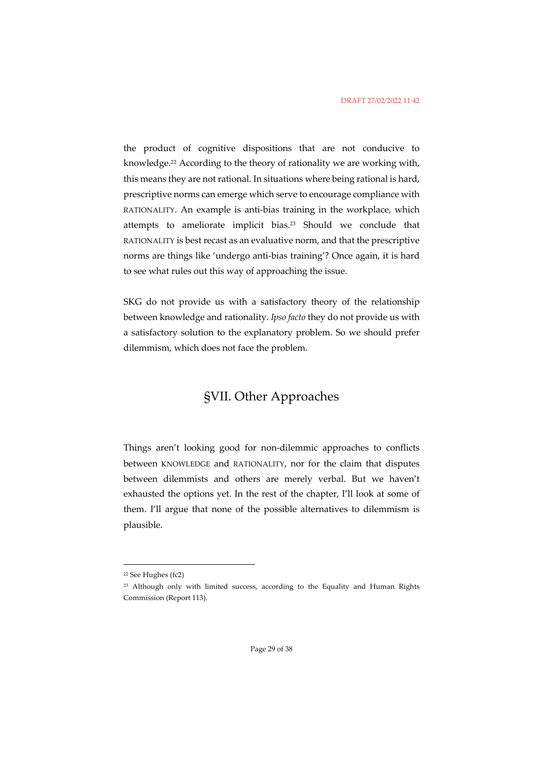the product of cognitive dispositions that are not conducive to knowledge.22 According to the theory of rationality we are working with, this means they are not rational. In situations where being rational is hard, prescriptive norms can emerge which serve to encourage compliance with RATIONALITY. An example is anti-bias training in the workplace, which attempts to ameliorate implicit bias.23 Should we conclude that RATIONALITY is best recast as an evaluative norm, and that the prescriptive norms are things like 'undergo anti-bias training'? Once again, it is hard to see what rules out this way of approaching the issue.

SKG do not provide us with a satisfactory theory of the relationship between knowledge and rationality. *Ipso facto* they do not provide us with a satisfactory solution to the explanatory problem. So we should prefer dilemmism, which does not face the problem.

# §VII. Other Approaches

Things aren't looking good for non-dilemmic approaches to conflicts between KNOWLEDGE and RATIONALITY, nor for the claim that disputes between dilemmists and others are merely verbal. But we haven't exhausted the options yet. In the rest of the chapter, I'll look at some of them. I'll argue that none of the possible alternatives to dilemmism is plausible.

<sup>22</sup> See Hughes (fc2)

<sup>&</sup>lt;sup>23</sup> Although only with limited success, according to the Equality and Human Rights Commission (Report 113).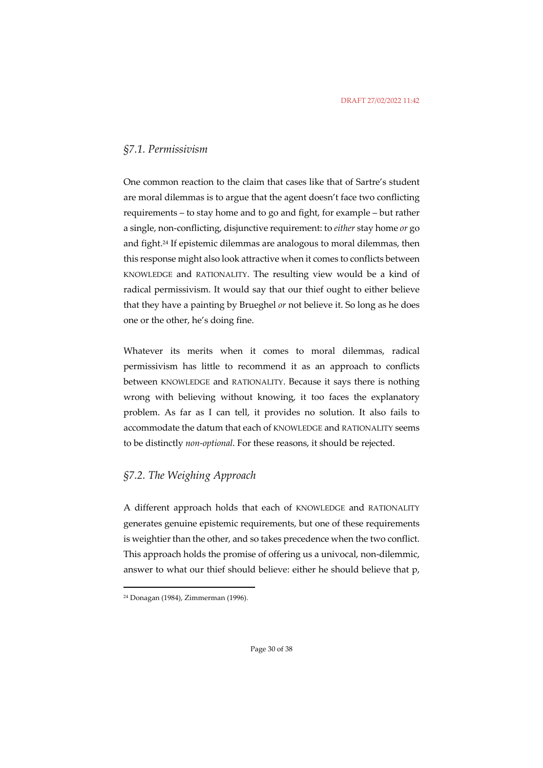### *§7.1. Permissivism*

One common reaction to the claim that cases like that of Sartre's student are moral dilemmas is to argue that the agent doesn't face two conflicting requirements – to stay home and to go and fight, for example – but rather a single, non-conflicting, disjunctive requirement: to *either* stay home *or* go and fight.24 If epistemic dilemmas are analogous to moral dilemmas, then this response might also look attractive when it comes to conflicts between KNOWLEDGE and RATIONALITY. The resulting view would be a kind of radical permissivism. It would say that our thief ought to either believe that they have a painting by Brueghel *or* not believe it. So long as he does one or the other, he's doing fine.

Whatever its merits when it comes to moral dilemmas, radical permissivism has little to recommend it as an approach to conflicts between KNOWLEDGE and RATIONALITY. Because it says there is nothing wrong with believing without knowing, it too faces the explanatory problem. As far as I can tell, it provides no solution. It also fails to accommodate the datum that each of KNOWLEDGE and RATIONALITY seems to be distinctly *non-optional*. For these reasons, it should be rejected.

### *§7.2. The Weighing Approach*

A different approach holds that each of KNOWLEDGE and RATIONALITY generates genuine epistemic requirements, but one of these requirements is weightier than the other, and so takes precedence when the two conflict. This approach holds the promise of offering us a univocal, non-dilemmic, answer to what our thief should believe: either he should believe that p,

<sup>24</sup> Donagan (1984), Zimmerman (1996).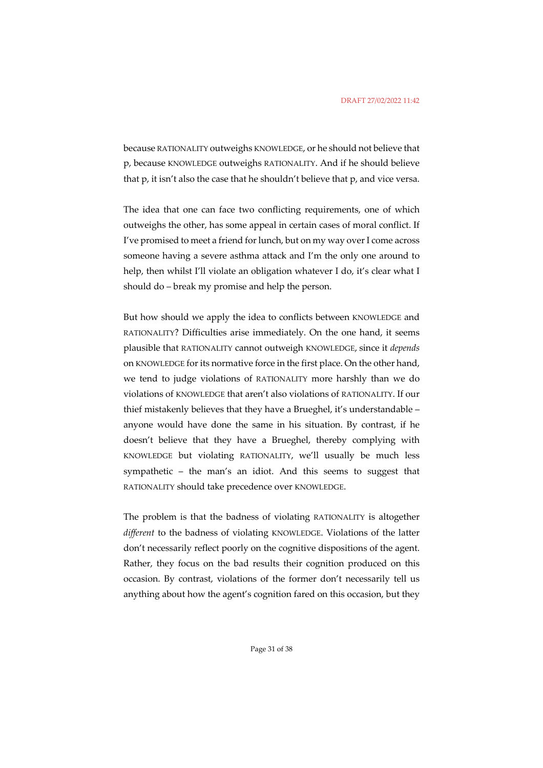because RATIONALITY outweighs KNOWLEDGE, or he should not believe that p, because KNOWLEDGE outweighs RATIONALITY. And if he should believe that p, it isn't also the case that he shouldn't believe that p, and vice versa.

The idea that one can face two conflicting requirements, one of which outweighs the other, has some appeal in certain cases of moral conflict. If I've promised to meet a friend for lunch, but on my way over I come across someone having a severe asthma attack and I'm the only one around to help, then whilst I'll violate an obligation whatever I do, it's clear what I should do – break my promise and help the person.

But how should we apply the idea to conflicts between KNOWLEDGE and RATIONALITY? Difficulties arise immediately. On the one hand, it seems plausible that RATIONALITY cannot outweigh KNOWLEDGE, since it *depends* on KNOWLEDGE for its normative force in the first place. On the other hand, we tend to judge violations of RATIONALITY more harshly than we do violations of KNOWLEDGE that aren't also violations of RATIONALITY. If our thief mistakenly believes that they have a Brueghel, it's understandable – anyone would have done the same in his situation. By contrast, if he doesn't believe that they have a Brueghel, thereby complying with KNOWLEDGE but violating RATIONALITY, we'll usually be much less sympathetic – the man's an idiot. And this seems to suggest that RATIONALITY should take precedence over KNOWLEDGE.

The problem is that the badness of violating RATIONALITY is altogether *different* to the badness of violating KNOWLEDGE. Violations of the latter don't necessarily reflect poorly on the cognitive dispositions of the agent. Rather, they focus on the bad results their cognition produced on this occasion. By contrast, violations of the former don't necessarily tell us anything about how the agent's cognition fared on this occasion, but they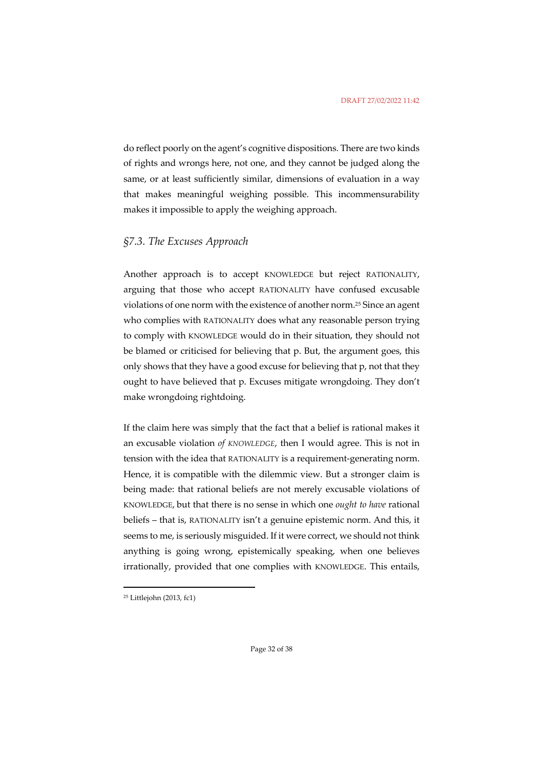do reflect poorly on the agent's cognitive dispositions. There are two kinds of rights and wrongs here, not one, and they cannot be judged along the same, or at least sufficiently similar, dimensions of evaluation in a way that makes meaningful weighing possible. This incommensurability makes it impossible to apply the weighing approach.

### *§7.3. The Excuses Approach*

Another approach is to accept KNOWLEDGE but reject RATIONALITY, arguing that those who accept RATIONALITY have confused excusable violations of one norm with the existence of another norm.25 Since an agent who complies with RATIONALITY does what any reasonable person trying to comply with KNOWLEDGE would do in their situation, they should not be blamed or criticised for believing that p. But, the argument goes, this only shows that they have a good excuse for believing that p, not that they ought to have believed that p. Excuses mitigate wrongdoing. They don't make wrongdoing rightdoing.

If the claim here was simply that the fact that a belief is rational makes it an excusable violation *of KNOWLEDGE*, then I would agree. This is not in tension with the idea that RATIONALITY is a requirement-generating norm. Hence, it is compatible with the dilemmic view. But a stronger claim is being made: that rational beliefs are not merely excusable violations of KNOWLEDGE, but that there is no sense in which one *ought to have* rational beliefs – that is, RATIONALITY isn't a genuine epistemic norm. And this, it seems to me, is seriously misguided. If it were correct, we should not think anything is going wrong, epistemically speaking, when one believes irrationally, provided that one complies with KNOWLEDGE. This entails,

<sup>25</sup> Littlejohn (2013, fc1)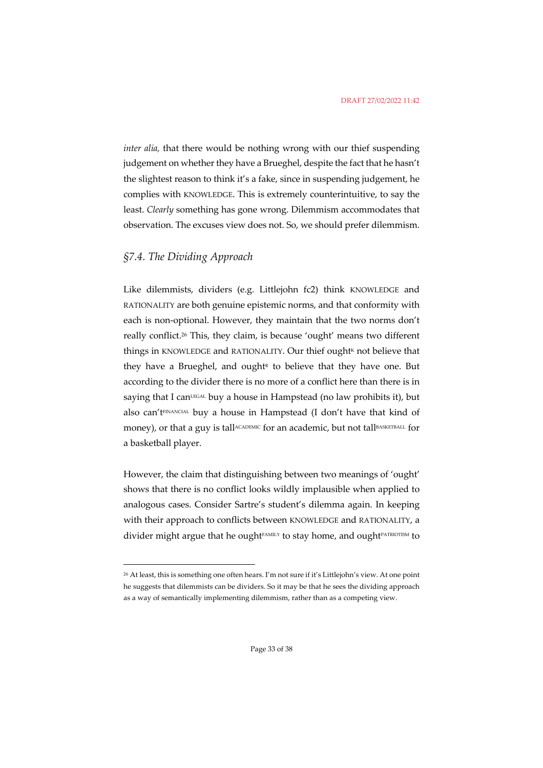*inter alia,* that there would be nothing wrong with our thief suspending judgement on whether they have a Brueghel, despite the fact that he hasn't the slightest reason to think it's a fake, since in suspending judgement, he complies with KNOWLEDGE. This is extremely counterintuitive, to say the least. *Clearly* something has gone wrong. Dilemmism accommodates that observation. The excuses view does not. So, we should prefer dilemmism.

### *§7.4. The Dividing Approach*

Like dilemmists, dividers (e.g. Littlejohn fc2) think KNOWLEDGE and RATIONALITY are both genuine epistemic norms, and that conformity with each is non-optional. However, they maintain that the two norms don't really conflict.26 This, they claim, is because 'ought' means two different things in KNOWLEDGE and RATIONALITY. Our thief ought<sup>k</sup> not believe that they have a Brueghel, and ought<sup> $R$ </sup> to believe that they have one. But according to the divider there is no more of a conflict here than there is in saying that I can<sup>LEGAL</sup> buy a house in Hampstead (no law prohibits it), but also can'tFINANCIAL buy a house in Hampstead (I don't have that kind of money), or that a guy is tall<sup>ACADEMIC</sup> for an academic, but not tallBASKETBALL for a basketball player.

However, the claim that distinguishing between two meanings of 'ought' shows that there is no conflict looks wildly implausible when applied to analogous cases. Consider Sartre's student's dilemma again. In keeping with their approach to conflicts between KNOWLEDGE and RATIONALITY, a divider might argue that he ought<sup>FAMILY</sup> to stay home, and ought<sup>PATRIOTISM</sup> to

<sup>26</sup> At least, this is something one often hears. I'm not sure if it's Littlejohn's view. At one point he suggests that dilemmists can be dividers. So it may be that he sees the dividing approach as a way of semantically implementing dilemmism, rather than as a competing view.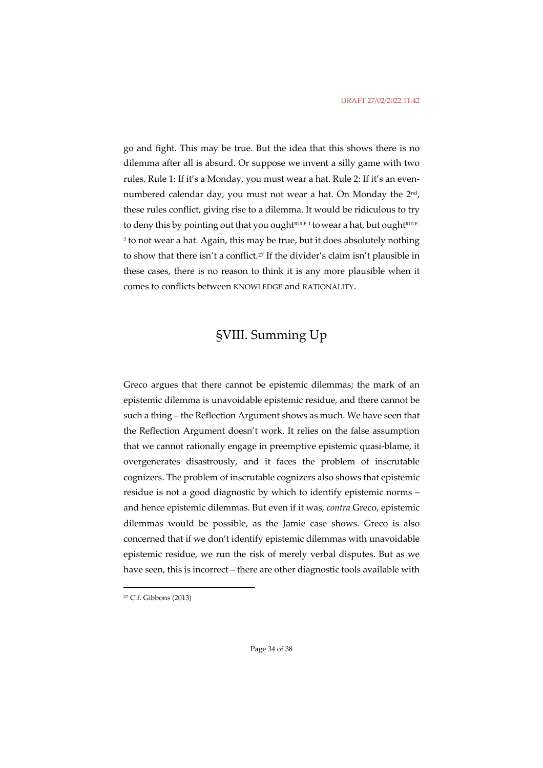go and fight. This may be true. But the idea that this shows there is no dilemma after all is absurd. Or suppose we invent a silly game with two rules. Rule 1: If it's a Monday, you must wear a hat. Rule 2: If it's an evennumbered calendar day, you must not wear a hat. On Monday the 2<sup>nd</sup>, these rules conflict, giving rise to a dilemma. It would be ridiculous to try to deny this by pointing out that you oughtRULE-1 to wear a hat, but oughtRULE-<sup>2</sup> to not wear a hat. Again, this may be true, but it does absolutely nothing to show that there isn't a conflict.27 If the divider's claim isn't plausible in these cases, there is no reason to think it is any more plausible when it comes to conflicts between KNOWLEDGE and RATIONALITY.

# §VIII. Summing Up

Greco argues that there cannot be epistemic dilemmas; the mark of an epistemic dilemma is unavoidable epistemic residue, and there cannot be such a thing – the Reflection Argument shows as much. We have seen that the Reflection Argument doesn't work. It relies on the false assumption that we cannot rationally engage in preemptive epistemic quasi-blame, it overgenerates disastrously, and it faces the problem of inscrutable cognizers. The problem of inscrutable cognizers also shows that epistemic residue is not a good diagnostic by which to identify epistemic norms – and hence epistemic dilemmas. But even if it was, *contra* Greco, epistemic dilemmas would be possible, as the Jamie case shows. Greco is also concerned that if we don't identify epistemic dilemmas with unavoidable epistemic residue, we run the risk of merely verbal disputes. But as we have seen, this is incorrect – there are other diagnostic tools available with

<sup>27</sup> C.f. Gibbons (2013)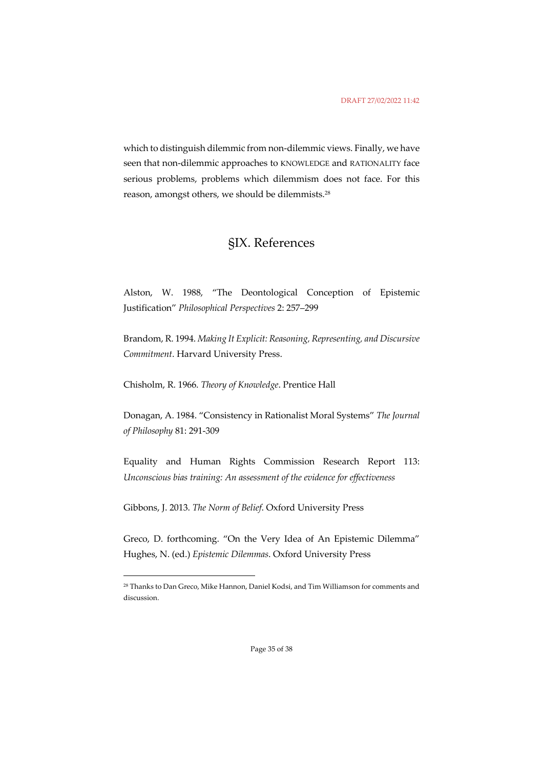which to distinguish dilemmic from non-dilemmic views. Finally, we have seen that non-dilemmic approaches to KNOWLEDGE and RATIONALITY face serious problems, problems which dilemmism does not face. For this reason, amongst others, we should be dilemmists.28

# §IX. References

Alston, W. 1988, "The Deontological Conception of Epistemic Justification" *Philosophical Perspectives* 2: 257–299

Brandom, R. 1994. *Making It Explicit: Reasoning, Representing, and Discursive Commitment*. Harvard University Press.

Chisholm, R. 1966. *Theory of Knowledge*. Prentice Hall

Donagan, A. 1984. "Consistency in Rationalist Moral Systems" *The Journal of Philosophy* 81: 291-309

Equality and Human Rights Commission Research Report 113: *Unconscious bias training: An assessment of the evidence for effectiveness*

Gibbons, J. 2013. *The Norm of Belief*. Oxford University Press

Greco, D. forthcoming. "On the Very Idea of An Epistemic Dilemma" Hughes, N. (ed.) *Epistemic Dilemmas*. Oxford University Press

<sup>28</sup> Thanks to Dan Greco, Mike Hannon, Daniel Kodsi, and Tim Williamson for comments and discussion.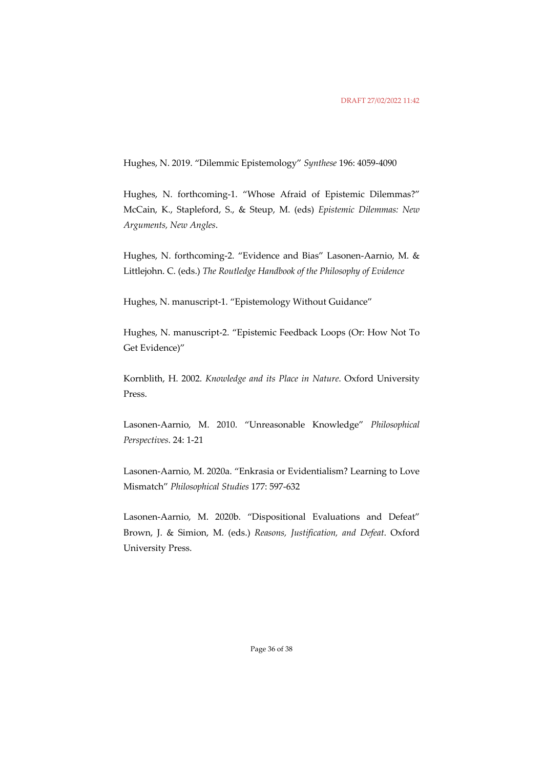Hughes, N. 2019. "Dilemmic Epistemology" *Synthese* 196: 4059-4090

Hughes, N. forthcoming-1. "Whose Afraid of Epistemic Dilemmas?" McCain, K., Stapleford, S., & Steup, M. (eds) *Epistemic Dilemmas: New Arguments, New Angles*.

Hughes, N. forthcoming-2. "Evidence and Bias" Lasonen-Aarnio, M. & Littlejohn. C. (eds.) *The Routledge Handbook of the Philosophy of Evidence*

Hughes, N. manuscript-1. "Epistemology Without Guidance"

Hughes, N. manuscript-2. "Epistemic Feedback Loops (Or: How Not To Get Evidence)"

Kornblith, H. 2002. *Knowledge and its Place in Nature*. Oxford University Press.

Lasonen-Aarnio, M. 2010. "Unreasonable Knowledge" *Philosophical Perspectives*. 24: 1-21

Lasonen-Aarnio, M. 2020a. "Enkrasia or Evidentialism? Learning to Love Mismatch" *Philosophical Studies* 177: 597-632

Lasonen-Aarnio, M. 2020b. "Dispositional Evaluations and Defeat" Brown, J. & Simion, M. (eds.) *Reasons, Justification, and Defeat*. Oxford University Press.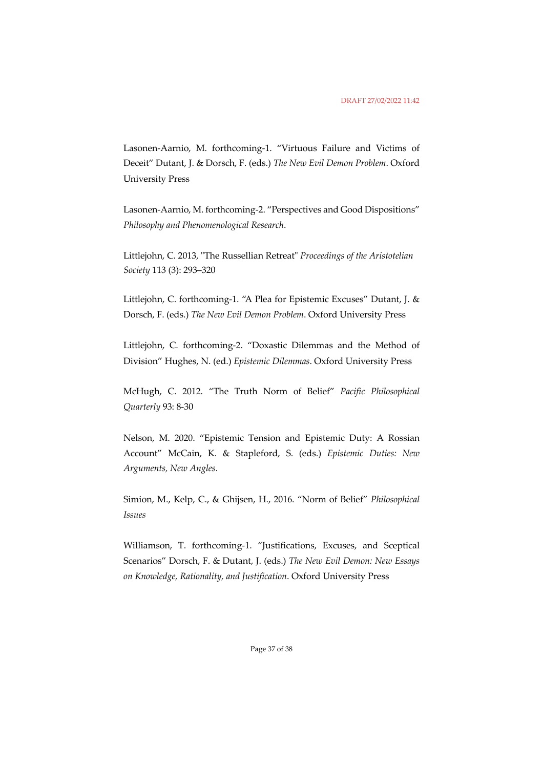Lasonen-Aarnio, M. forthcoming-1. "Virtuous Failure and Victims of Deceit" Dutant, J. & Dorsch, F. (eds.) *The New Evil Demon Problem*. Oxford University Press

Lasonen-Aarnio, M. forthcoming-2. "Perspectives and Good Dispositions" *Philosophy and Phenomenological Research*.

Littlejohn, C. 2013, "The Russellian Retreat" *Proceedings of the Aristotelian Society* 113 (3): 293–320

Littlejohn, C. forthcoming-1. "A Plea for Epistemic Excuses" Dutant, J. & Dorsch, F. (eds.) *The New Evil Demon Problem*. Oxford University Press

Littlejohn, C. forthcoming-2. "Doxastic Dilemmas and the Method of Division" Hughes, N. (ed.) *Epistemic Dilemmas*. Oxford University Press

McHugh, C. 2012. "The Truth Norm of Belief" *Pacific Philosophical Quarterly* 93: 8-30

Nelson, M. 2020. "Epistemic Tension and Epistemic Duty: A Rossian Account" McCain, K. & Stapleford, S. (eds.) *Epistemic Duties: New Arguments, New Angles*.

Simion, M., Kelp, C., & Ghijsen, H., 2016. "Norm of Belief" *Philosophical Issues*

Williamson, T. forthcoming-1. "Justifications, Excuses, and Sceptical Scenarios" Dorsch, F. & Dutant, J. (eds.) *The New Evil Demon: New Essays on Knowledge, Rationality, and Justification*. Oxford University Press

Page 37 of 38